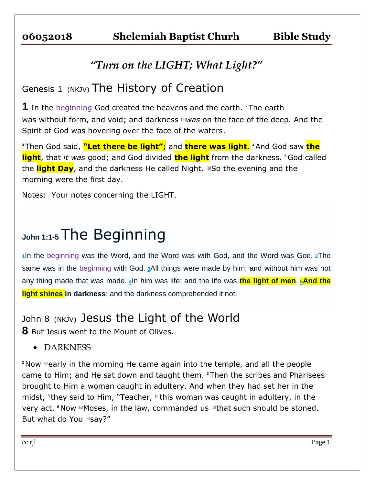## *"Turn on the LIGHT; What Light?"*

# Genesis 1 (NKJV) The History of Creation

**1** In the beginning God created the heavens and the earth. **<sup>2</sup>**The earth was without form, and void; and darkness [\[a\]](https://www.biblegateway.com/passage/?search=Genesis+1&version=NKJV#fen-NKJV-2a)*was* on the face of the deep. And the Spirit of God was hovering over the face of the waters.

**<sup>3</sup>**Then God said, **"Let there be light";** and **there was light**. **<sup>4</sup>**And God saw **the light**, that *it was* good; and God divided **the light** from the darkness. **<sup>5</sup>**God called the light Day, and the darkness He called Night. **D**So the evening and the morning were the first day.

Notes: Your notes concerning the LIGHT.

# **John 1:1-5** The Beginning

**[1](http://biblehub.com/john/1-1.htm)**In the beginning was the Word, and the Word was with God, and the Word was God. **[2](http://biblehub.com/john/1-2.htm)**The same was in the beginning with God. **[3](http://biblehub.com/john/1-3.htm)**All things were made by him; and without him was not any thing made that was made. **[4](http://biblehub.com/john/1-4.htm)**In him was life; and the life was **the light of men**. **[5](http://biblehub.com/john/1-5.htm)And the light shines in darkness**; and the darkness comprehended it not.

John 8 (NKJV) Jesus the Light of the World

**8** But Jesus went to the Mount of Olives.

DARKNESS

<sup>2</sup> Now **Example in the morning He came again into the temple, and all the people** came to Him; and He sat down and taught them. **<sup>3</sup>**Then the scribes and Pharisees brought to Him a woman caught in adultery. And when they had set her in the midst, **<sup>4</sup>** they said to Him, "Teacher, [\[b\]](https://www.biblegateway.com/passage/?search=john+8&version=NKJV#fen-NKJV-26386b)this woman was caught in adultery, in the very act. <sup>5</sup>Now **EMoses, in the law, commanded us <b>Elast** such should be stoned. But what do You [\[e\]](https://www.biblegateway.com/passage/?search=john+8&version=NKJV#fen-NKJV-26387e)say?"